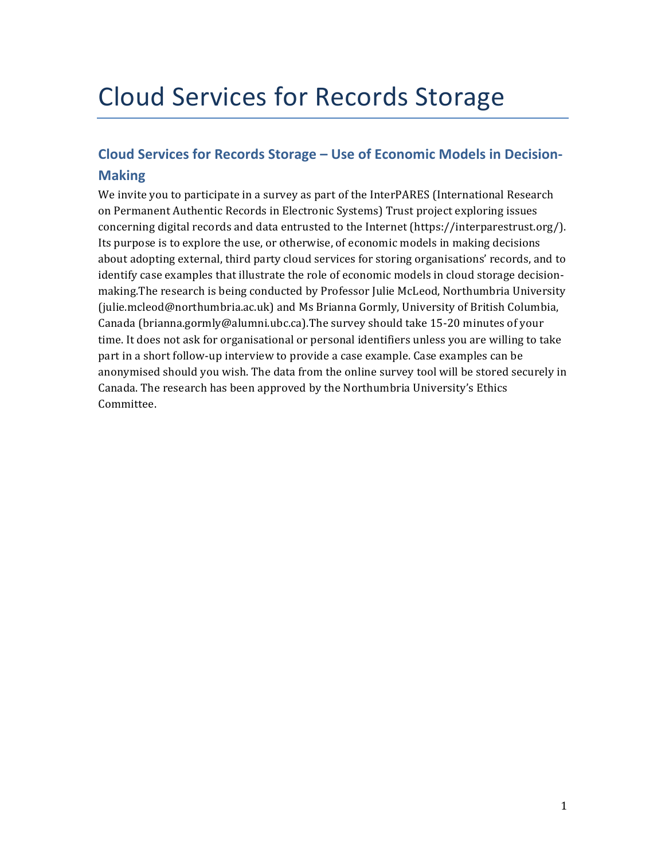# Cloud Services for Records Storage

# Cloud Services for Records Storage - Use of Economic Models in Decision-**Making**

We invite you to participate in a survey as part of the InterPARES (International Research on Permanent Authentic Records in Electronic Systems) Trust project exploring issues concerning digital records and data entrusted to the Internet (https://interparestrust.org/). Its purpose is to explore the use, or otherwise, of economic models in making decisions about adopting external, third party cloud services for storing organisations' records, and to identify case examples that illustrate the role of economic models in cloud storage decisionmaking.The research is being conducted by Professor Julie McLeod, Northumbria University (julie.mcleod@northumbria.ac.uk) and Ms Brianna Gormly, University of British Columbia, Canada (brianna.gormly@alumni.ubc.ca).The survey should take 15-20 minutes of your time. It does not ask for organisational or personal identifiers unless you are willing to take part in a short follow-up interview to provide a case example. Case examples can be anonymised should you wish. The data from the online survey tool will be stored securely in Canada. The research has been approved by the Northumbria University's Ethics Committee.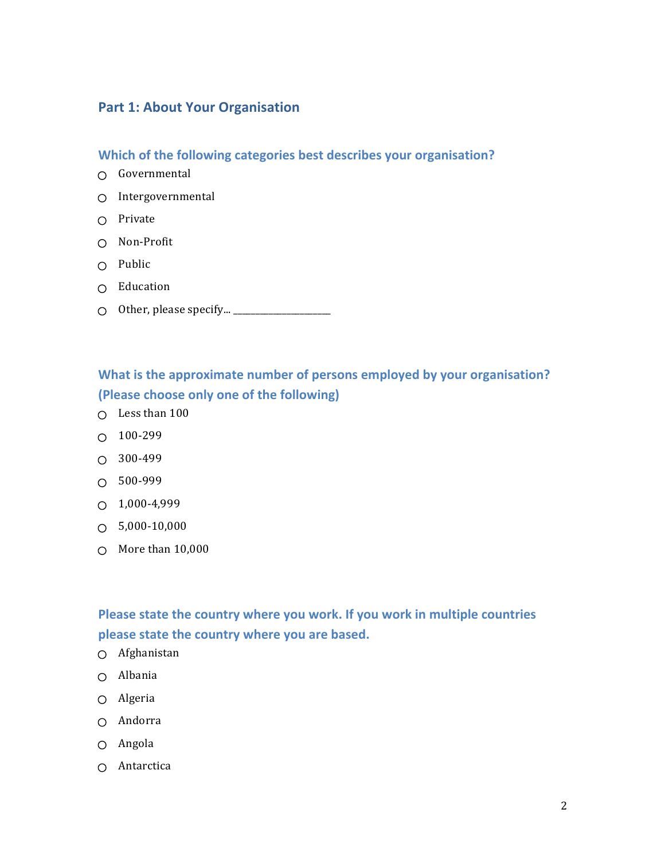### **Part 1: About Your Organisation**

**Which of the following categories best describes your organisation?** 

- Governmental
- O Intergovernmental
- $O$  Private
- Non-Profit
- $O$  Public
- $O$  Education
- $\bigcirc$  Other, please specify...  $\begin{array}{|c|c|} \hline \end{array}$

### What is the approximate number of persons employed by your organisation? **(Please choose only one of the following)**

- $\cap$  Less than 100
- 100-299
- $O$  300-499
- $O$  500-999
- $O$  1,000-4,999
- $\bigcirc$  5,000-10,000
- $\circ$  More than 10,000

### Please state the country where you work. If you work in multiple countries please state the country where you are based.

- Afghanistan
- Albania
- Algeria
- Andorra
- $O$  Angola
- $\cap$  Antarctica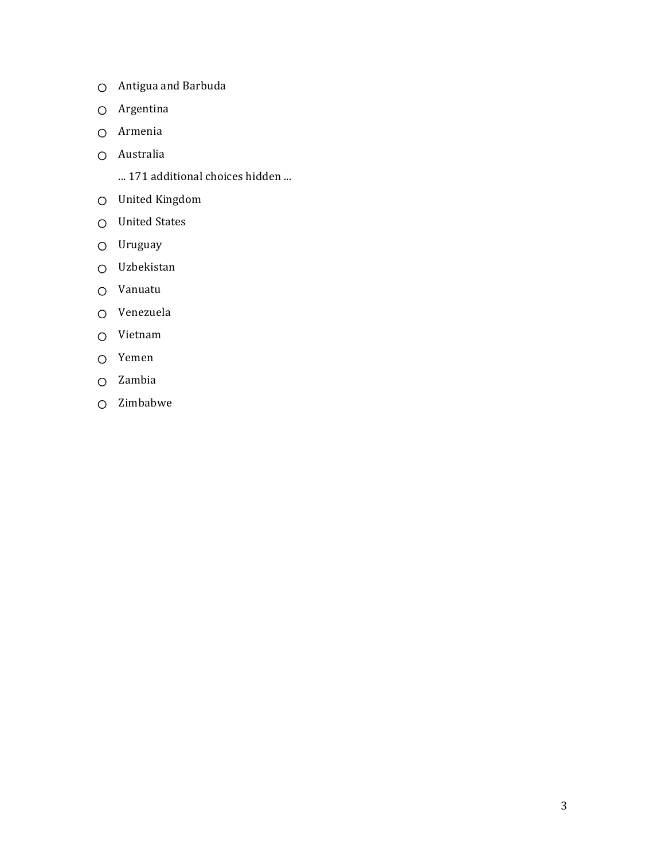- O Antigua and Barbuda
- Argentina
- Armenia
- Australia
	- ... 171 additional choices hidden ...
- United Kingdom
- O United States
- O Uruguay
- Uzbekistan
- Vanuatu
- Venezuela
- Vietnam
- Yemen
- Zambia
- Zimbabwe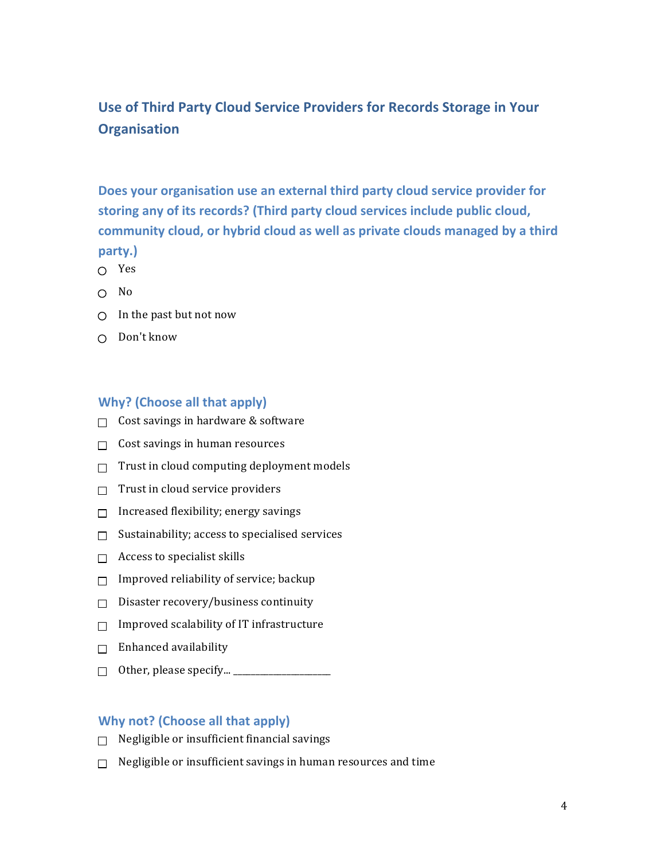# **Use of Third Party Cloud Service Providers for Records Storage in Your Organisation**

Does your organisation use an external third party cloud service provider for storing any of its records? (Third party cloud services include public cloud, community cloud, or hybrid cloud as well as private clouds managed by a third **party.)**

- Yes
- $\cap$  No
- $\bigcirc$  In the past but not now
- $\bigcirc$  Don't know

#### **Why?** (Choose all that apply)

- $\Box$  Cost savings in hardware & software
- $\Box$  Cost savings in human resources
- $\Box$  Trust in cloud computing deployment models
- $\Box$  Trust in cloud service providers
- $\Box$  Increased flexibility; energy savings
- $\Box$  Sustainability; access to specialised services
- $\Box$  Access to specialist skills
- $\Box$  Improved reliability of service; backup
- $\Box$  Disaster recovery/business continuity
- $\Box$  Improved scalability of IT infrastructure
- $\Box$  Enhanced availability
- $\Box$  Other, please specify...  $\Box$

### **Why not? (Choose all that apply)**

- $\Box$  Negligible or insufficient financial savings
- $\Box$  Negligible or insufficient savings in human resources and time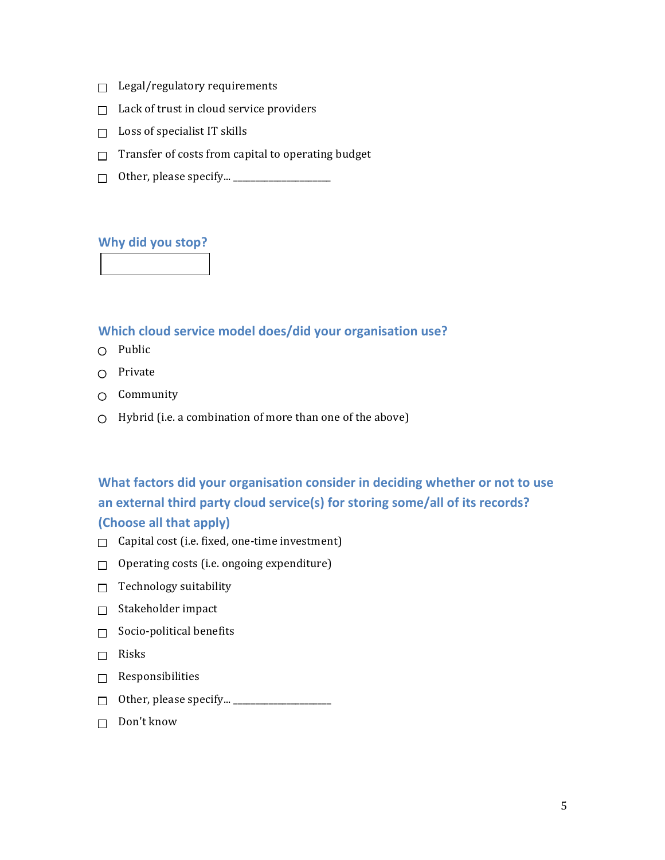- $\Box$  Legal/regulatory requirements
- $\Box$  Lack of trust in cloud service providers
- $\Box$  Loss of specialist IT skills
- $\Box$  Transfer of costs from capital to operating budget
- $\Box$  Other, please specify...  $\_\_$

#### **Why did you stop?**

#### **Which cloud service model does/did your organisation use?**

- $O$  Public
- $\bigcap$  Private
- $O$  Community
- $\bigcirc$  Hybrid (i.e. a combination of more than one of the above)

# **What factors did your organisation consider in deciding whether or not to use** an external third party cloud service(s) for storing some/all of its records? **(Choose all that apply)**

- $\Box$  Capital cost (i.e. fixed, one-time investment)
- $\Box$  Operating costs (i.e. ongoing expenditure)
- $\Box$  Technology suitability
- $\Box$  Stakeholder impact
- $\Box$  Socio-political benefits
- $\Box$  Risks
- $\Box$  Responsibilities
- $\Box$  Other, please specify...  $\Box$
- $\Box$  Don't know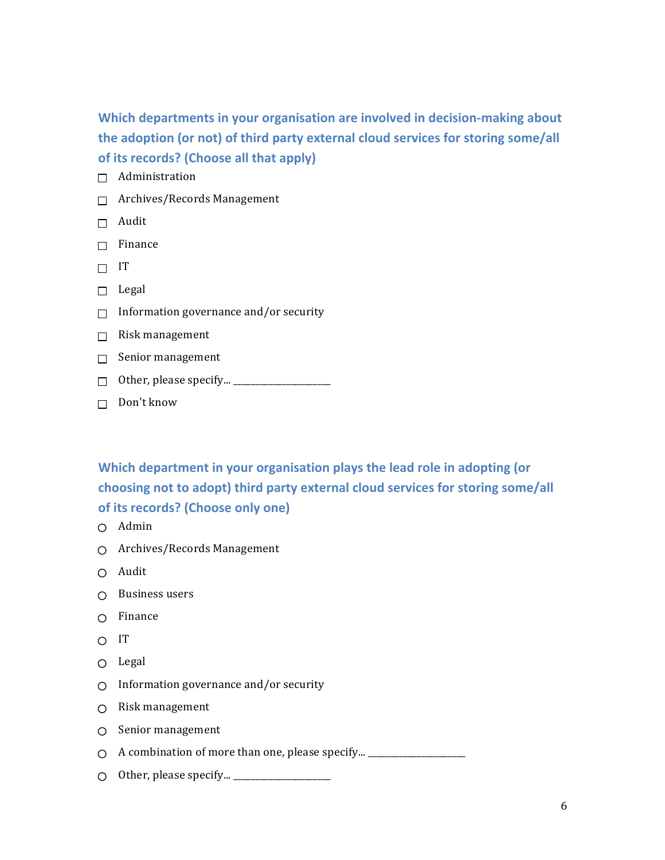Which departments in your organisation are involved in decision-making about the adoption (or not) of third party external cloud services for storing some/all of its records? (Choose all that apply)

- $\Box$  Administration
- $\Box$  Archives/Records Management
- $\Box$  Audit
- $\Box$  Finance
- $\Box$  IT
- $\Box$  Legal
- $\Box$  Information governance and/or security
- $\Box$  Risk management
- $\Box$  Senior management
- Other, please specify... \_\_\_\_\_\_\_\_\_\_\_\_\_\_\_\_\_\_\_\_\_\_
- $\Box$  Don't know

**Which department in your organisation plays the lead role in adopting (or** choosing not to adopt) third party external cloud services for storing some/all **of its records? (Choose only one)** 

- Admin
- $\bigcirc$  Archives/Records Management
- Audit
- $\bigcirc$  Business users
- $\cap$  Finance
- $\overline{C}$  IT
- $O$  Legal
- $\bigcirc$  Information governance and/or security
- $\bigcirc$  Risk management
- $\bigcirc$  Senior management
- $\bigcirc$  A combination of more than one, please specify...  $\qquad \qquad \qquad$
- $\bigcirc$  Other, please specify...  $\bigcup$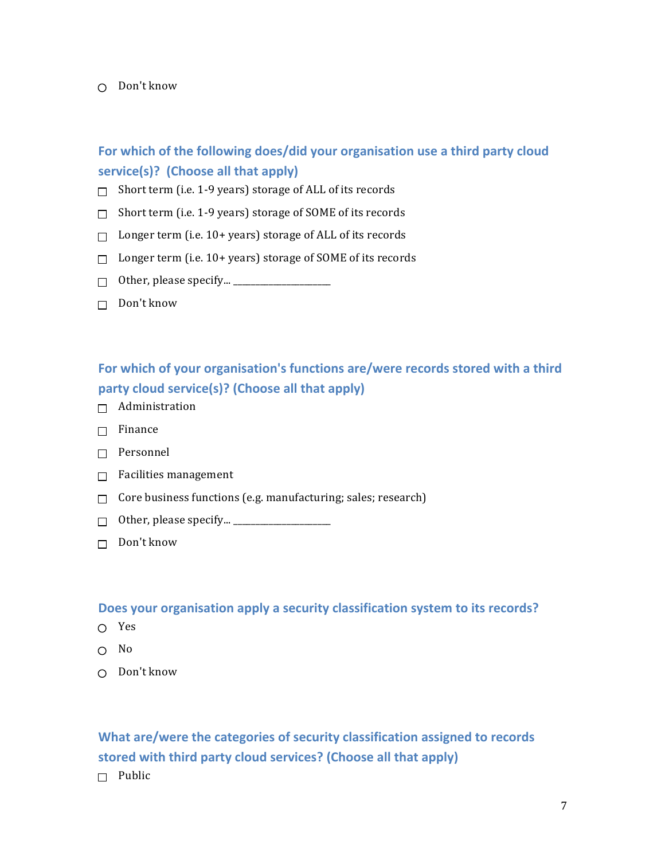#### $\cap$  Don't know

### For which of the following does/did your organisation use a third party cloud service(s)? (Choose all that apply)

- $\Box$  Short term (i.e. 1-9 years) storage of ALL of its records
- $\Box$  Short term (i.e. 1-9 years) storage of SOME of its records
- $\Box$  Longer term (i.e. 10+ years) storage of ALL of its records
- $\Box$  Longer term (i.e. 10+ years) storage of SOME of its records
- $\Box$  Other, please specify...  $\Box$
- $\Box$  Don't know

### For which of your organisation's functions are/were records stored with a third party cloud service(s)? (Choose all that apply)

- $\Box$  Administration
- $\Box$  Finance
- $\Box$  Personnel
- $\Box$  Facilities management
- $\Box$  Core business functions (e.g. manufacturing; sales; research)
- $\Box$  Other, please specify...  $\_\_\_\_\_\_\_\_\_\_\_\_\_\_\_\_\_\_\_$
- $\Box$  Don't know

#### Does your organisation apply a security classification system to its records?

- Yes
- $O$  No
- $\cap$  Don't know

### What are/were the categories of security classification assigned to records stored with third party cloud services? (Choose all that apply)

 $\Box$  Public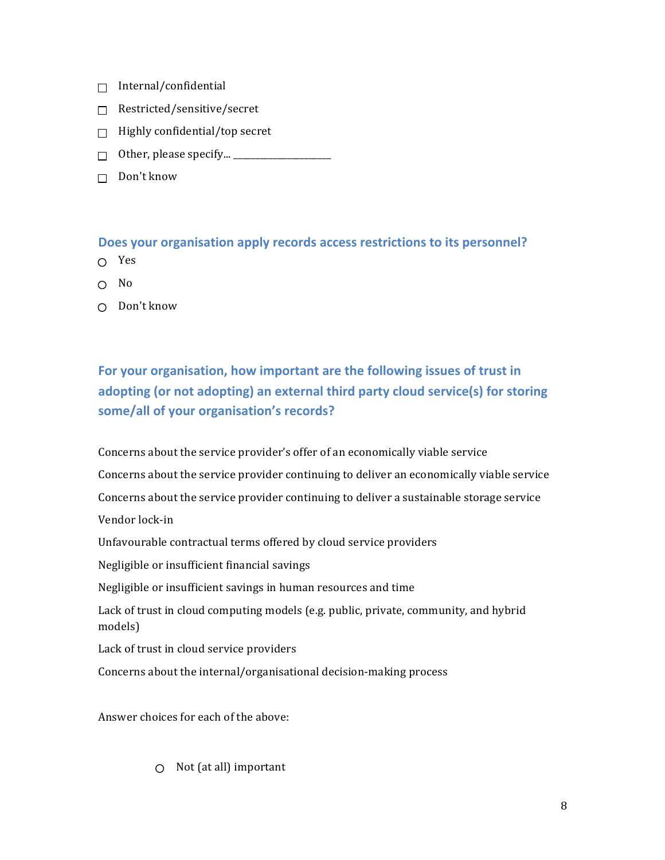- $\Box$  Internal/confidential
- Restricted/sensitive/secret
- $\Box$  Highly confidential/top secret
- $\Box$  Other, please specify...  $\_\_$
- $\Box$  Don't know

#### **Does your organisation apply records access restrictions to its personnel?**

- Yes
- $\cap$  No
- $\bigcap$  Don't know

# For your organisation, how important are the following issues of trust in adopting (or not adopting) an external third party cloud service(s) for storing some/all of your organisation's records?

Concerns about the service provider's offer of an economically viable service Concerns about the service provider continuing to deliver an economically viable service Concerns about the service provider continuing to deliver a sustainable storage service Vendor lock-in Unfavourable contractual terms offered by cloud service providers Negligible or insufficient financial savings Negligible or insufficient savings in human resources and time Lack of trust in cloud computing models (e.g. public, private, community, and hybrid models) Lack of trust in cloud service providers Concerns about the internal/organisational decision-making process

Answer choices for each of the above:

 $\bigcirc$  Not (at all) important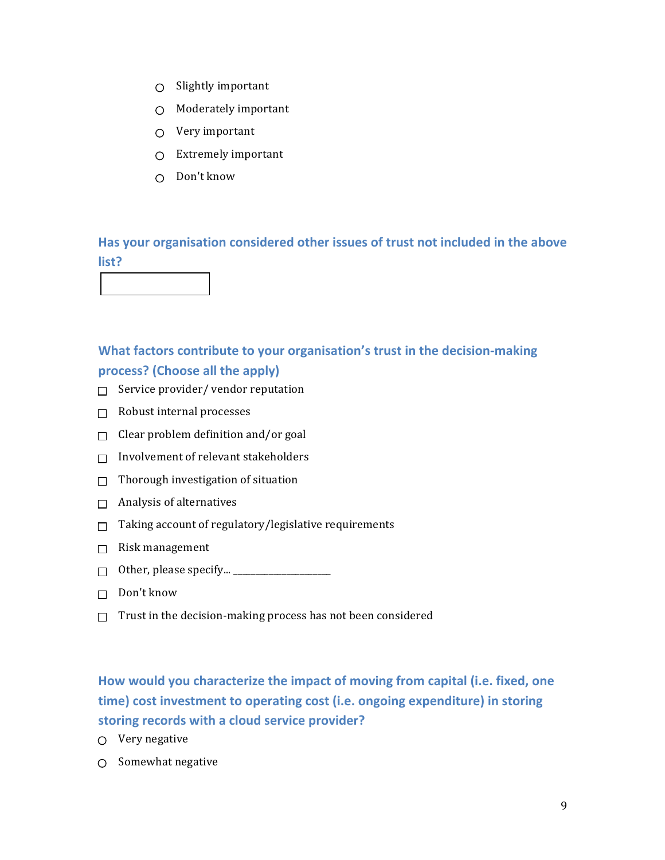- $\bigcirc$  Slightly important
- $\bigcirc$  Moderately important
- $O$  Very important
- $\bigcirc$  Extremely important
- $\cap$  Don't know

Has your organisation considered other issues of trust not included in the above **list?**



- $\Box$  Service provider/ vendor reputation
- $\Box$  Robust internal processes
- $\Box$  Clear problem definition and/or goal
- $\Box$  Involvement of relevant stakeholders
- $\Box$  Thorough investigation of situation
- $\Box$  Analysis of alternatives
- $\Box$  Taking account of regulatory/legislative requirements
- $\Box$  Risk management
- $\Box$  Other, please specify...  $\_\_\_\_\_\_\_\_\_\_\_\_\_\_\_\_\_\_$
- $\Box$  Don't know
- $\Box$  Trust in the decision-making process has not been considered

# How would you characterize the impact of moving from capital (i.e. fixed, one time) cost investment to operating cost (i.e. ongoing expenditure) in storing storing records with a cloud service provider?

- $O$  Very negative
- $O$  Somewhat negative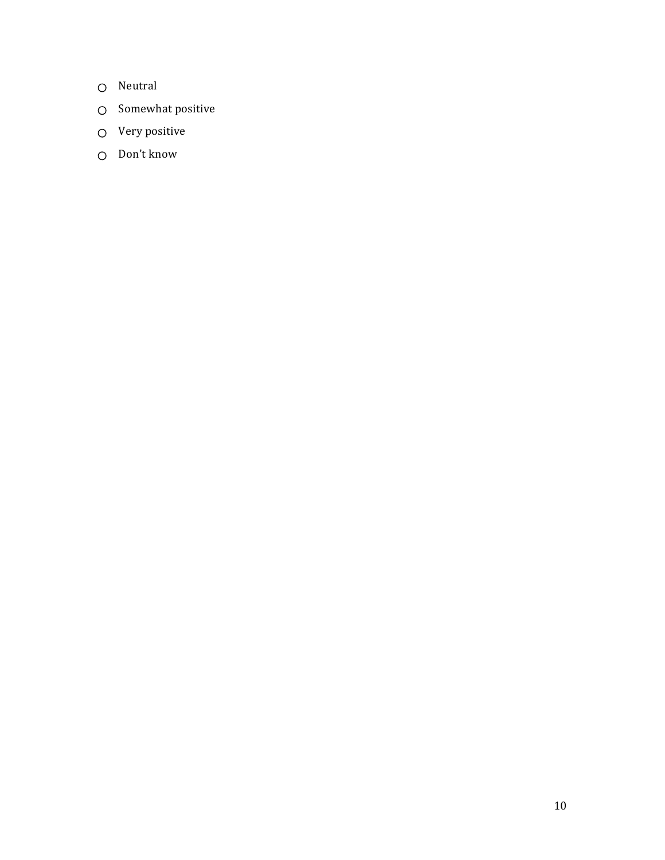- O Neutral
- $\bigcirc$  Somewhat positive
- $O$  Very positive
- O Don't know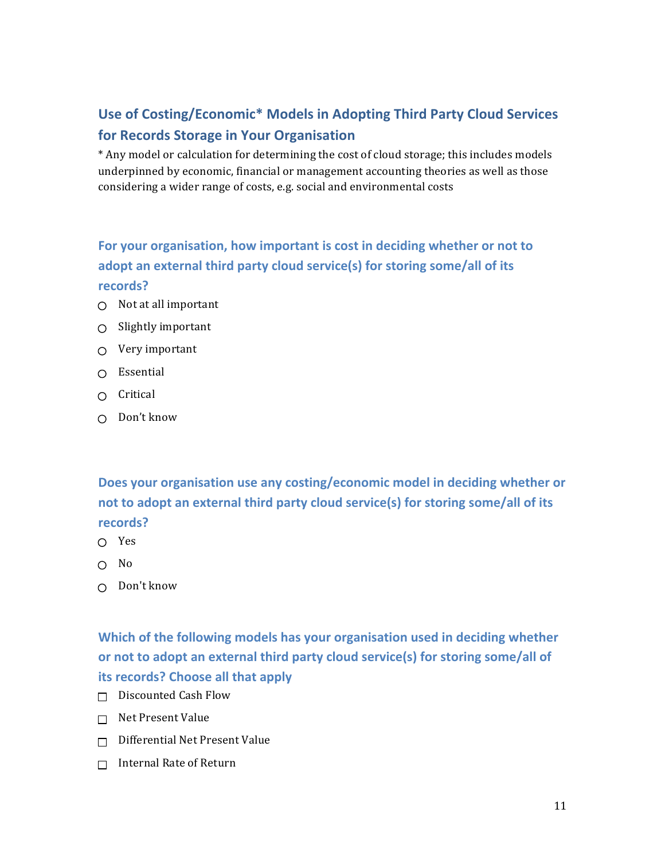# Use of Costing/Economic\* Models in Adopting Third Party Cloud Services **for Records Storage in Your Organisation**

\* Any model or calculation for determining the cost of cloud storage; this includes models underpinned by economic, financial or management accounting theories as well as those considering a wider range of costs, e.g. social and environmental costs

### For your organisation, how important is cost in deciding whether or not to adopt an external third party cloud service(s) for storing some/all of its **records?**

- $\bigcirc$  Not at all important
- $\bigcirc$  Slightly important
- $\circ$  Very important
- $\cap$  Essential
- $\cap$  Critical
- $\bigcap$  Don't know

Does your organisation use any costing/economic model in deciding whether or not to adopt an external third party cloud service(s) for storing some/all of its **records?**

- ∩ Yes
- $\cap$  No
- $O$  Don't know

**Which of the following models has your organisation used in deciding whether** or not to adopt an external third party cloud service(s) for storing some/all of **its records? Choose all that apply** 

- $\Box$  Discounted Cash Flow
- $\Box$  Net Present Value
- $\Box$  Differential Net Present Value
- $\Box$  Internal Rate of Return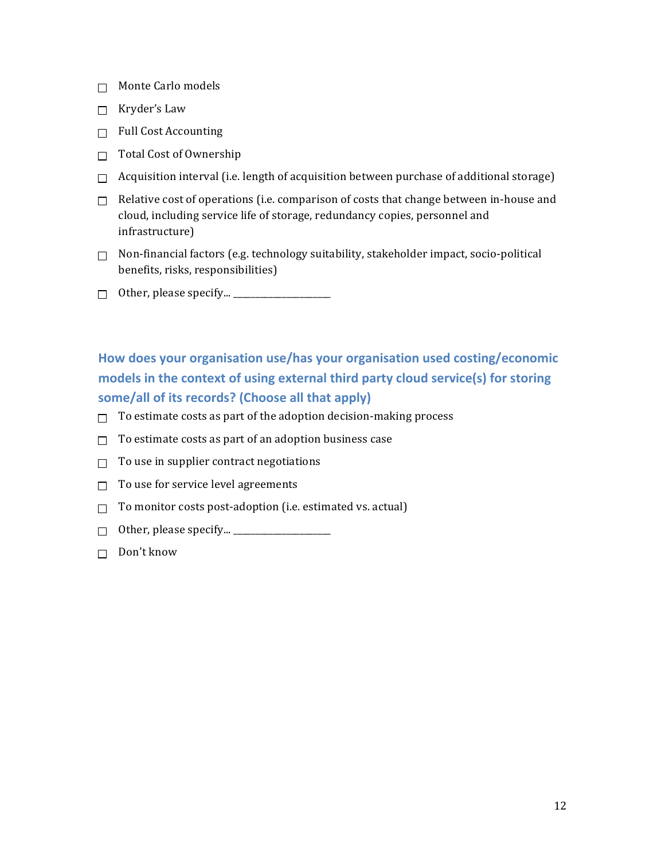- $\Box$  Monte Carlo models
- $\Box$  Kryder's Law
- $\Box$  Full Cost Accounting
- $\Box$  Total Cost of Ownership
- $\Box$  Acquisition interval (i.e. length of acquisition between purchase of additional storage)
- $\Box$  Relative cost of operations (i.e. comparison of costs that change between in-house and cloud, including service life of storage, redundancy copies, personnel and infrastructure)
- $\Box$  Non-financial factors (e.g. technology suitability, stakeholder impact, socio-political benefits, risks, responsibilities)
- Other, please specify... \_\_\_\_\_\_\_\_\_\_\_\_\_\_\_\_\_\_\_\_\_\_

How does your organisation use/has your organisation used costing/economic models in the context of using external third party cloud service(s) for storing some/all of its records? (Choose all that apply)

- $\Box$  To estimate costs as part of the adoption decision-making process
- $\Box$  To estimate costs as part of an adoption business case
- $\Box$  To use in supplier contract negotiations
- $\Box$  To use for service level agreements
- $\Box$  To monitor costs post-adoption (i.e. estimated vs. actual)
- $\Box$  Other, please specify...  $\_\_\_\_\_\_\_\_\_\_\_\_\_\_\_\_\_\_\_\_\_\_$
- $\Box$  Don't know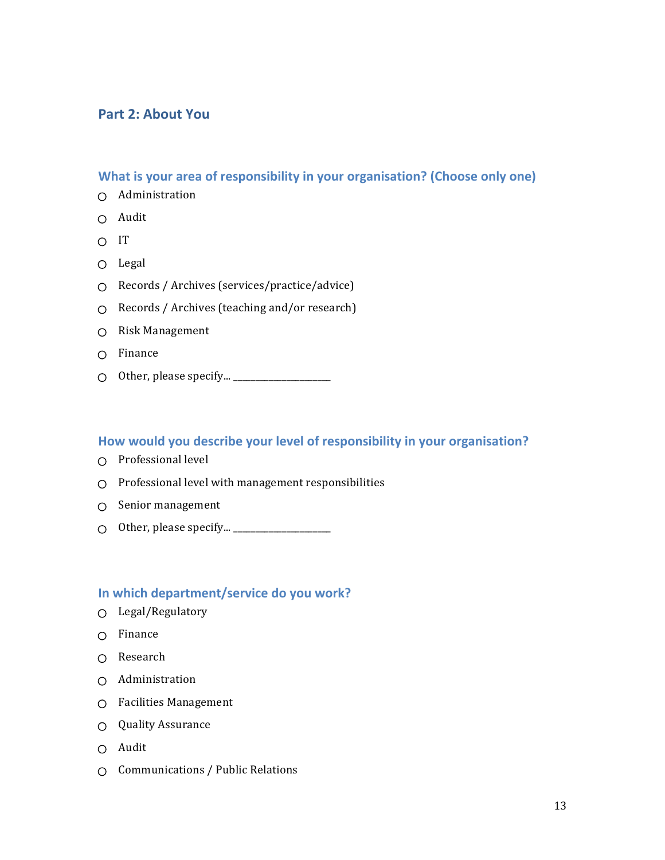### **Part 2: About You**

### **What is your area of responsibility in your organisation? (Choose only one)**

- Administration
- $O$  Audit
- $\cap$  IT
- $O$  Legal
- Records / Archives (services/practice/advice)
- $\circ$  Records / Archives (teaching and/or research)
- O Risk Management
- $O$  Finance
- $\bigcirc$  Other, please specify...  $\overline{\hspace{1cm}}$

#### How would you describe your level of responsibility in your organisation?

- $\bigcirc$  Professional level
- $\bigcirc$  Professional level with management responsibilities
- $\bigcirc$  Senior management
- Other, please specify... \_\_\_\_\_\_\_\_\_\_\_\_\_\_\_\_\_\_\_\_\_\_

#### **In which department/service do you work?**

- Legal/Regulatory
- $O$  Finance
- O Research
- Administration
- Facilities Management
- $\bigcirc$  Quality Assurance
- $O$  Audit
- $\bigcirc$  Communications / Public Relations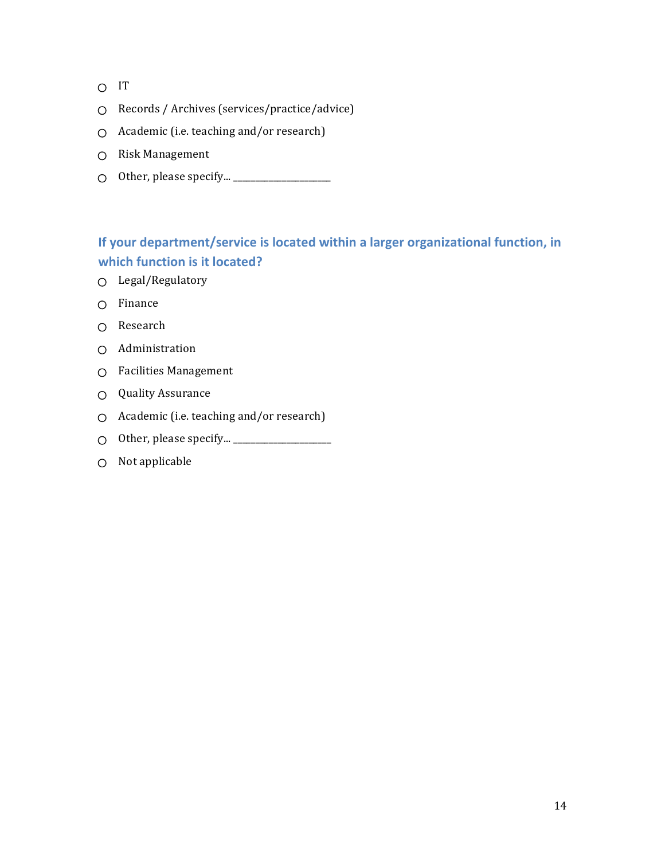- O IT
- Records / Archives (services/practice/advice)
- $\bigcirc$  Academic (i.e. teaching and/or research)
- O Risk Management
- $\circ$  Other, please specify...  $\_\_$

### **If your department/service is located within a larger organizational function, in which function is it located?**

- Legal/Regulatory
- Finance
- O Research
- Administration
- $O$  Facilities Management
- Quality Assurance
- $\bigcirc$  Academic (i.e. teaching and/or research)
- $\bigcirc$  Other, please specify...  $\overline{\hspace{2cm}}$
- $O$  Not applicable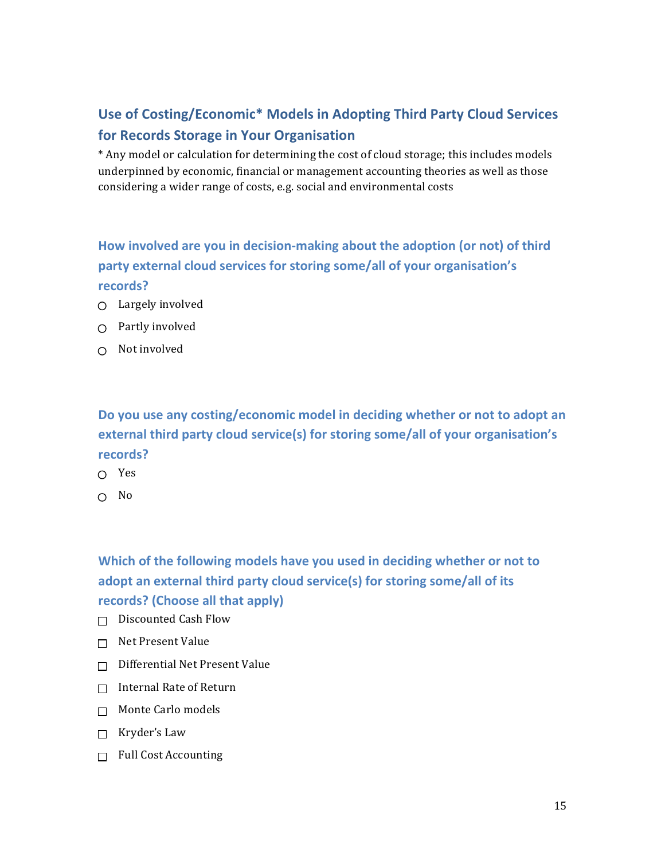# Use of Costing/Economic\* Models in Adopting Third Party Cloud Services **for Records Storage in Your Organisation**

\* Any model or calculation for determining the cost of cloud storage; this includes models underpinned by economic, financial or management accounting theories as well as those considering a wider range of costs, e.g. social and environmental costs

# How involved are you in decision-making about the adoption (or not) of third **party external cloud services for storing some/all of your organisation's records?**

- $\bigcirc$  Largely involved
- $\bigcirc$  Partly involved
- $\bigcirc$  Not involved

Do you use any costing/economic model in deciding whether or not to adopt an **external third party cloud service(s) for storing some/all of your organisation's records?**

- Yes
- $\cap$  No

# Which of the following models have you used in deciding whether or not to adopt an external third party cloud service(s) for storing some/all of its **records?** (Choose all that apply)

- $\Box$  Discounted Cash Flow
- $\Box$  Net Present Value
- $\Box$  Differential Net Present Value
- $\Box$  Internal Rate of Return
- $\Box$  Monte Carlo models
- $\Box$  Kryder's Law
- $\Box$  Full Cost Accounting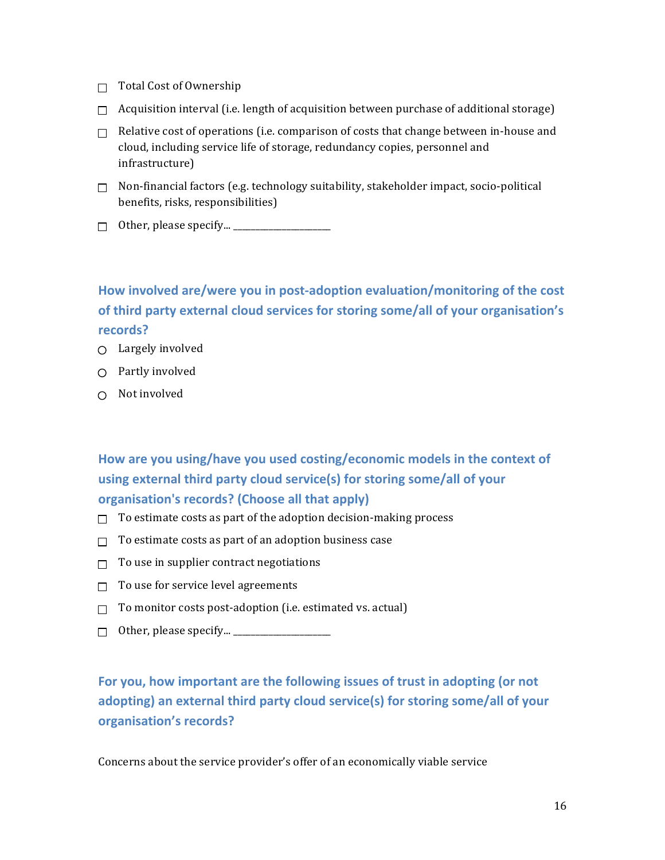- $\Box$  Total Cost of Ownership
- $\Box$  Acquisition interval (i.e. length of acquisition between purchase of additional storage)
- $\Box$  Relative cost of operations (i.e. comparison of costs that change between in-house and cloud, including service life of storage, redundancy copies, personnel and infrastructure)
- $\Box$  Non-financial factors (e.g. technology suitability, stakeholder impact, socio-political benefits, risks, responsibilities)
- $\Box$  Other, please specify...  $\Box$

How involved are/were you in post-adoption evaluation/monitoring of the cost of third party external cloud services for storing some/all of your organisation's **records?**

- $\bigcirc$  Largely involved
- $\bigcirc$  Partly involved
- $\cap$  Not involved

# How are you using/have you used costing/economic models in the context of using external third party cloud service(s) for storing some/all of your **organisation's records? (Choose all that apply)**

- $\Box$  To estimate costs as part of the adoption decision-making process
- $\Box$  To estimate costs as part of an adoption business case
- $\Box$  To use in supplier contract negotiations
- $\Box$  To use for service level agreements
- $\Box$  To monitor costs post-adoption (i.e. estimated vs. actual)
- Other, please specify... \_\_\_\_\_\_\_\_\_\_\_\_\_\_\_\_\_\_\_\_\_\_

# For you, how important are the following issues of trust in adopting (or not **adopting)** an external third party cloud service(s) for storing some/all of your **organisation's records?**

Concerns about the service provider's offer of an economically viable service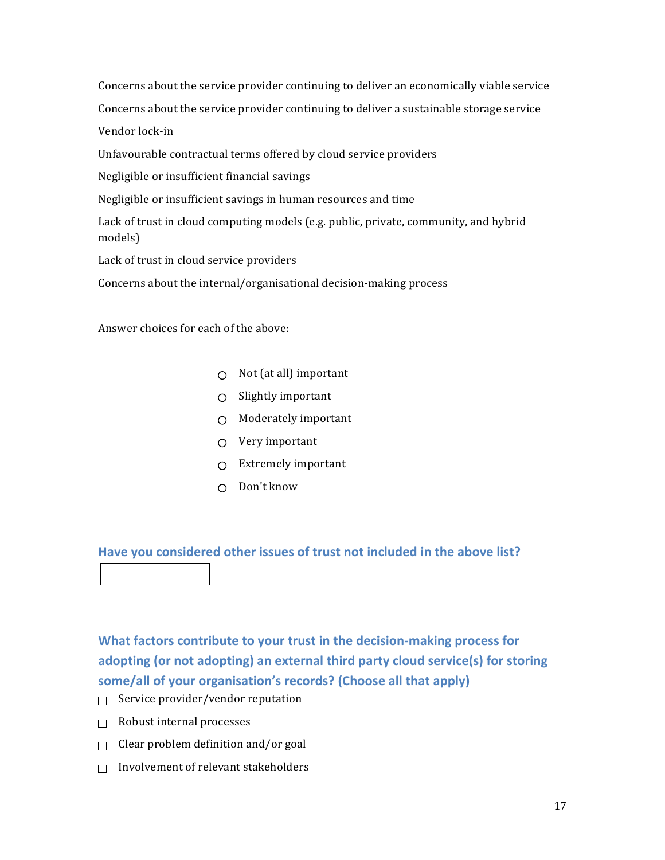Concerns about the service provider continuing to deliver an economically viable service

Concerns about the service provider continuing to deliver a sustainable storage service

Vendor lock-in

Unfavourable contractual terms offered by cloud service providers

Negligible or insufficient financial savings

Negligible or insufficient savings in human resources and time

Lack of trust in cloud computing models (e.g. public, private, community, and hybrid models)

Lack of trust in cloud service providers

Concerns about the internal/organisational decision-making process

Answer choices for each of the above:

- $\bigcirc$  Not (at all) important
- $\bigcirc$  Slightly important
- $\bigcirc$  Moderately important
- $\bigcirc$  Very important
- $\bigcirc$  Extremely important
- $\cap$  Don't know

Have you considered other issues of trust not included in the above list?

**What factors contribute to your trust in the decision-making process for** adopting (or not adopting) an external third party cloud service(s) for storing some/all of your organisation's records? (Choose all that apply)

- $\Box$  Service provider/vendor reputation
- $\Box$  Robust internal processes
- $\Box$  Clear problem definition and/or goal
- $\Box$  Involvement of relevant stakeholders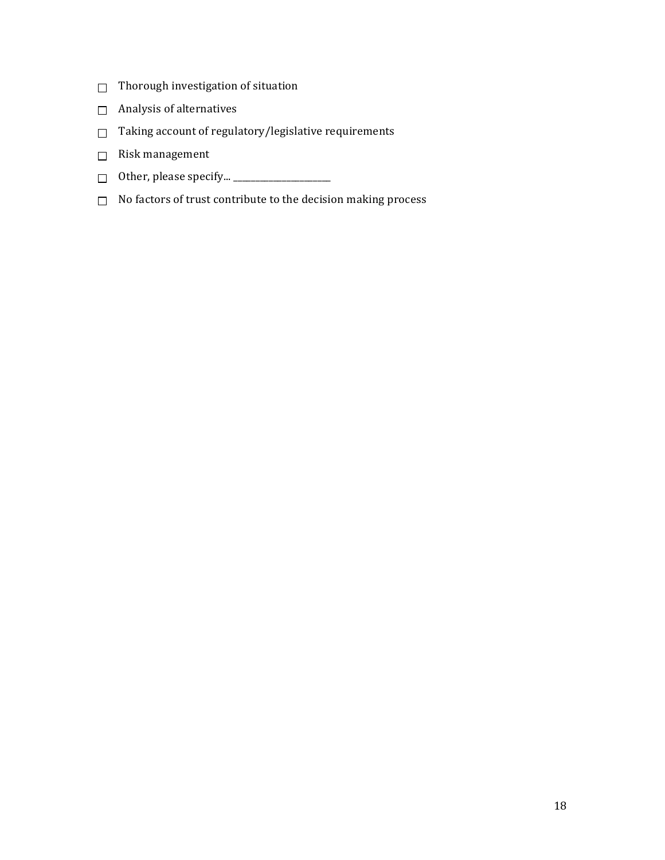- $\Box$  Thorough investigation of situation
- $\Box$  Analysis of alternatives
- $\Box$  Taking account of regulatory/legislative requirements
- $\hfill\Box$ <br> Risk management
- Other, please specify... \_\_\_\_\_\_\_\_\_\_\_\_\_\_\_\_\_\_\_\_\_\_
- $\Box$  No factors of trust contribute to the decision making process